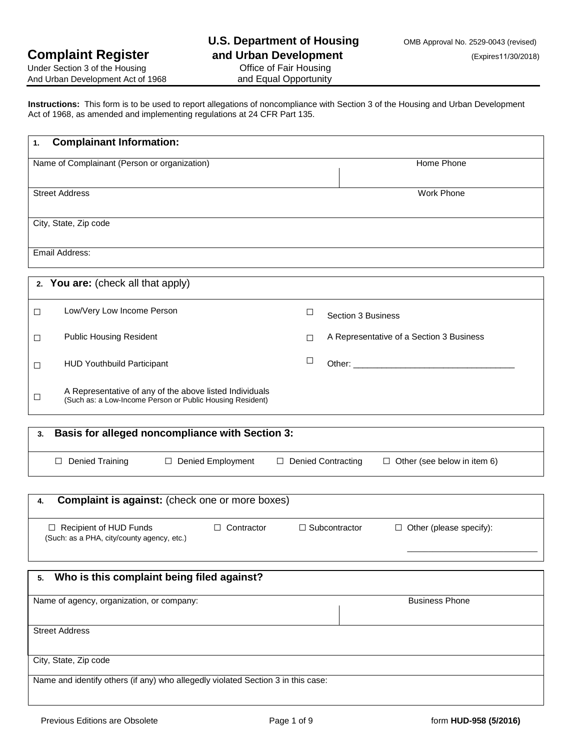Under Section 3 of the Housing And Urban Development Act of 1968 **and Equal Opportunity** 

**Instructions:** This form is to be used to report allegations of noncompliance with Section 3 of the Housing and Urban Development Act of 1968, as amended and implementing regulations at 24 CFR Part 135.

| <b>Complainant Information:</b><br>1.                                                                                          |                                                            |  |
|--------------------------------------------------------------------------------------------------------------------------------|------------------------------------------------------------|--|
| Name of Complainant (Person or organization)                                                                                   | Home Phone                                                 |  |
|                                                                                                                                |                                                            |  |
| <b>Street Address</b>                                                                                                          | Work Phone                                                 |  |
| City, State, Zip code                                                                                                          |                                                            |  |
|                                                                                                                                |                                                            |  |
| Email Address:                                                                                                                 |                                                            |  |
| 2. You are: (check all that apply)                                                                                             |                                                            |  |
| Low/Very Low Income Person<br>□                                                                                                | $\Box$<br>Section 3 Business                               |  |
| <b>Public Housing Resident</b><br>□                                                                                            | A Representative of a Section 3 Business<br>□              |  |
| <b>HUD Youthbuild Participant</b><br>$\Box$                                                                                    | $\Box$                                                     |  |
| A Representative of any of the above listed Individuals<br>$\Box$<br>(Such as: a Low-Income Person or Public Housing Resident) |                                                            |  |
| <b>Basis for alleged noncompliance with Section 3:</b><br>3.                                                                   |                                                            |  |
| □ Denied Employment<br>$\Box$ Denied Training                                                                                  | □ Denied Contracting<br>$\Box$ Other (see below in item 6) |  |
| <b>Complaint is against:</b> (check one or more boxes)<br>4.                                                                   |                                                            |  |
|                                                                                                                                |                                                            |  |
| $\Box$ Contractor<br>$\Box$ Recipient of HUD Funds<br>(Such: as a PHA, city/county agency, etc.)                               | $\Box$ Subcontractor<br>$\Box$ Other (please specify):     |  |
|                                                                                                                                |                                                            |  |
| Who is this complaint being filed against?<br>5.                                                                               |                                                            |  |
| Name of agency, organization, or company:                                                                                      | <b>Business Phone</b>                                      |  |
|                                                                                                                                |                                                            |  |
| <b>Street Address</b>                                                                                                          |                                                            |  |
| City, State, Zip code                                                                                                          |                                                            |  |
| Name and identify others (if any) who allegedly violated Section 3 in this case:                                               |                                                            |  |
|                                                                                                                                |                                                            |  |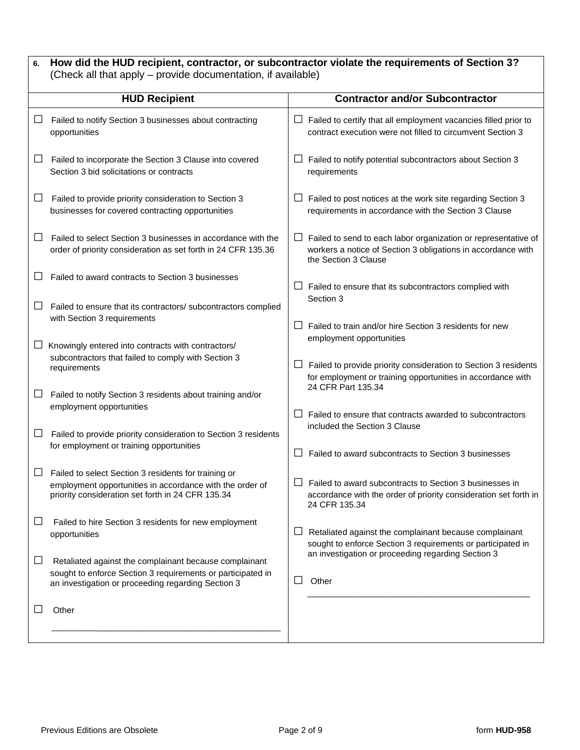| 6. | How did the HUD recipient, contractor, or subcontractor violate the requirements of Section 3?<br>(Check all that apply – provide documentation, if available)              |                                                                                                                                                             |  |
|----|-----------------------------------------------------------------------------------------------------------------------------------------------------------------------------|-------------------------------------------------------------------------------------------------------------------------------------------------------------|--|
|    | <b>HUD Recipient</b>                                                                                                                                                        | <b>Contractor and/or Subcontractor</b>                                                                                                                      |  |
|    | Failed to notify Section 3 businesses about contracting<br>opportunities                                                                                                    | Failed to certify that all employment vacancies filled prior to<br>ப<br>contract execution were not filled to circumvent Section 3                          |  |
| Ш  | Failed to incorporate the Section 3 Clause into covered<br>Section 3 bid solicitations or contracts                                                                         | Failed to notify potential subcontractors about Section 3<br>requirements                                                                                   |  |
| ⊔  | Failed to provide priority consideration to Section 3<br>businesses for covered contracting opportunities                                                                   | Failed to post notices at the work site regarding Section 3<br>ப<br>requirements in accordance with the Section 3 Clause                                    |  |
| ப  | Failed to select Section 3 businesses in accordance with the<br>order of priority consideration as set forth in 24 CFR 135.36                                               | Failed to send to each labor organization or representative of<br>ப<br>workers a notice of Section 3 obligations in accordance with<br>the Section 3 Clause |  |
|    | Failed to award contracts to Section 3 businesses                                                                                                                           | ப<br>Failed to ensure that its subcontractors complied with<br>Section 3                                                                                    |  |
|    | Failed to ensure that its contractors/ subcontractors complied<br>with Section 3 requirements                                                                               | Failed to train and/or hire Section 3 residents for new<br>$\mathsf{L}$<br>employment opportunities                                                         |  |
|    | Knowingly entered into contracts with contractors/<br>subcontractors that failed to comply with Section 3<br>requirements                                                   | Failed to provide priority consideration to Section 3 residents<br>ப<br>for employment or training opportunities in accordance with<br>24 CFR Part 135.34   |  |
| ப  | Failed to notify Section 3 residents about training and/or<br>employment opportunities                                                                                      | Failed to ensure that contracts awarded to subcontractors<br>$\Box$                                                                                         |  |
| ப  | Failed to provide priority consideration to Section 3 residents<br>for employment or training opportunities                                                                 | included the Section 3 Clause<br>Failed to award subcontracts to Section 3 businesses<br>ப                                                                  |  |
|    | Failed to select Section 3 residents for training or<br>employment opportunities in accordance with the order of<br>priority consideration set forth in 24 CFR 135.34       | Failed to award subcontracts to Section 3 businesses in<br>accordance with the order of priority consideration set forth in<br>24 CFR 135.34                |  |
|    | Failed to hire Section 3 residents for new employment<br>opportunities                                                                                                      | Retaliated against the complainant because complainant<br>ப<br>sought to enforce Section 3 requirements or participated in                                  |  |
| ப  | Retaliated against the complainant because complainant<br>sought to enforce Section 3 requirements or participated in<br>an investigation or proceeding regarding Section 3 | an investigation or proceeding regarding Section 3<br>⊔<br>Other                                                                                            |  |
|    | Other                                                                                                                                                                       |                                                                                                                                                             |  |
|    |                                                                                                                                                                             |                                                                                                                                                             |  |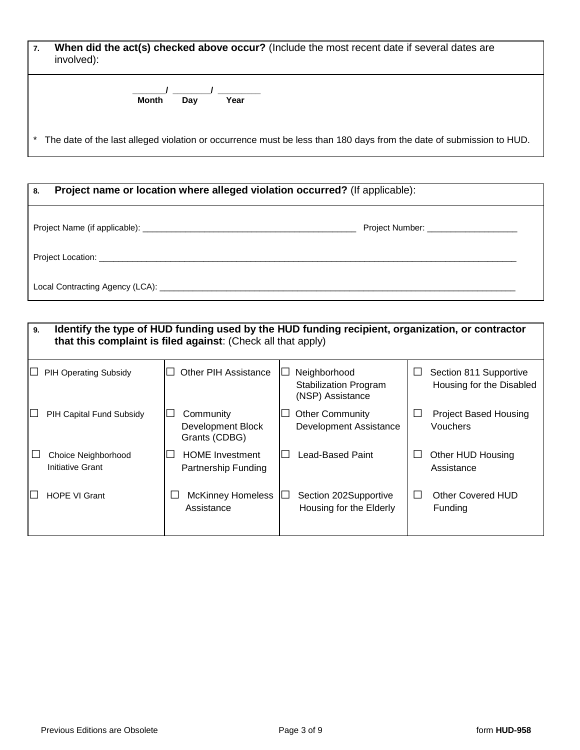| When did the act(s) checked above occur? (Include the most recent date if several dates are<br>involved): |                                                                                                                     |
|-----------------------------------------------------------------------------------------------------------|---------------------------------------------------------------------------------------------------------------------|
|                                                                                                           | Month<br>Year<br>Dav                                                                                                |
|                                                                                                           | The date of the last alleged violation or occurrence must be less than 180 days from the date of submission to HUD. |

| Project name or location where alleged violation occurred? (If applicable):<br>8. |                                         |
|-----------------------------------------------------------------------------------|-----------------------------------------|
|                                                                                   | Project Number: _______________________ |
|                                                                                   |                                         |
|                                                                                   |                                         |

#### **9. Identify the type of HUD funding used by the HUD funding recipient, organization, or contractor that this complaint is filed against**: (Check all that apply) **□** PIH Operating Subsidy **□** Other PIH Assistance **□** Neighborhood Stabilization Program (NSP) Assistance **□** Section 811 Supportive Housing for the Disabled **□** PIH Capital Fund Subsidy **□** Community Development Block Grants (CDBG) □ Other Community Development Assistance **□** Project Based Housing Vouchers **□** Choice Neighborhood Initiative Grant **□** HOME Investment Partnership Funding **□** Lead-Based Paint **□** Other HUD Housing Assistance **□** HOPE VI Grant **□** McKinney Homeless Assistance **□** Section 202Supportive Housing for the Elderly **□** Other Covered HUD Funding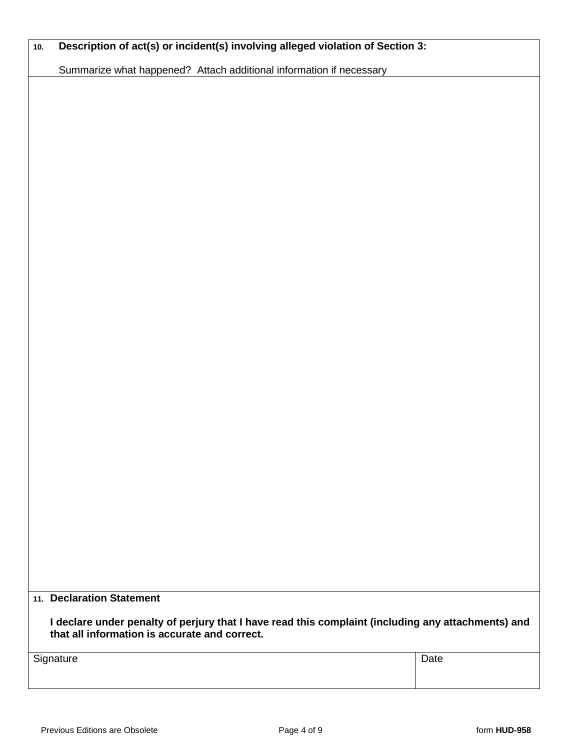| Description of act(s) or incident(s) involving alleged violation of Section 3:<br>Summarize what happened? Attach additional information if necessary |                                                                                                    |      |
|-------------------------------------------------------------------------------------------------------------------------------------------------------|----------------------------------------------------------------------------------------------------|------|
|                                                                                                                                                       |                                                                                                    |      |
|                                                                                                                                                       |                                                                                                    |      |
|                                                                                                                                                       |                                                                                                    |      |
|                                                                                                                                                       |                                                                                                    |      |
|                                                                                                                                                       |                                                                                                    |      |
|                                                                                                                                                       |                                                                                                    |      |
|                                                                                                                                                       |                                                                                                    |      |
|                                                                                                                                                       |                                                                                                    |      |
|                                                                                                                                                       |                                                                                                    |      |
|                                                                                                                                                       |                                                                                                    |      |
|                                                                                                                                                       |                                                                                                    |      |
|                                                                                                                                                       |                                                                                                    |      |
|                                                                                                                                                       |                                                                                                    |      |
|                                                                                                                                                       |                                                                                                    |      |
|                                                                                                                                                       |                                                                                                    |      |
|                                                                                                                                                       |                                                                                                    |      |
|                                                                                                                                                       |                                                                                                    |      |
|                                                                                                                                                       |                                                                                                    |      |
|                                                                                                                                                       |                                                                                                    |      |
|                                                                                                                                                       |                                                                                                    |      |
|                                                                                                                                                       |                                                                                                    |      |
|                                                                                                                                                       |                                                                                                    |      |
|                                                                                                                                                       |                                                                                                    |      |
|                                                                                                                                                       |                                                                                                    |      |
|                                                                                                                                                       |                                                                                                    |      |
|                                                                                                                                                       |                                                                                                    |      |
|                                                                                                                                                       |                                                                                                    |      |
|                                                                                                                                                       |                                                                                                    |      |
|                                                                                                                                                       |                                                                                                    |      |
|                                                                                                                                                       |                                                                                                    |      |
|                                                                                                                                                       |                                                                                                    |      |
|                                                                                                                                                       |                                                                                                    |      |
|                                                                                                                                                       |                                                                                                    |      |
|                                                                                                                                                       |                                                                                                    |      |
|                                                                                                                                                       |                                                                                                    |      |
| 11. Declaration Statement                                                                                                                             |                                                                                                    |      |
| that all information is accurate and correct.                                                                                                         | I declare under penalty of perjury that I have read this complaint (including any attachments) and |      |
|                                                                                                                                                       |                                                                                                    | Date |
| Signature                                                                                                                                             |                                                                                                    |      |
|                                                                                                                                                       |                                                                                                    |      |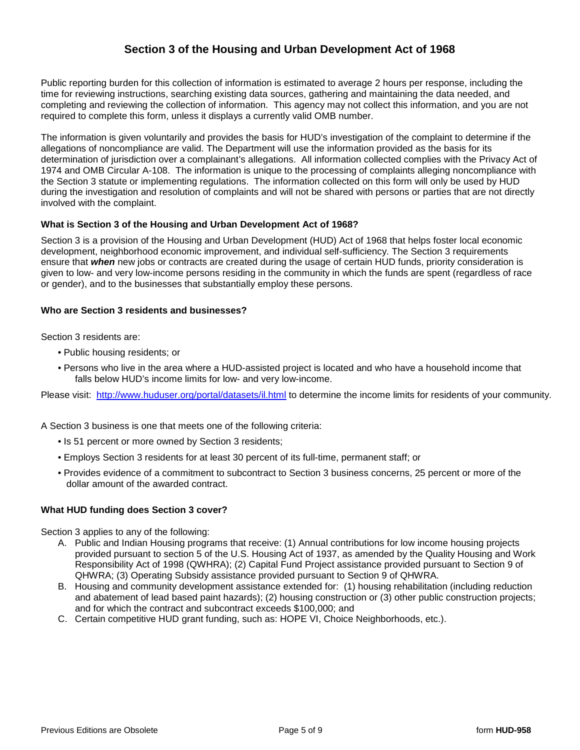## **Section 3 of the Housing and Urban Development Act of 1968**

Public reporting burden for this collection of information is estimated to average 2 hours per response, including the time for reviewing instructions, searching existing data sources, gathering and maintaining the data needed, and completing and reviewing the collection of information. This agency may not collect this information, and you are not required to complete this form, unless it displays a currently valid OMB number.

The information is given voluntarily and provides the basis for HUD's investigation of the complaint to determine if the allegations of noncompliance are valid. The Department will use the information provided as the basis for its determination of jurisdiction over a complainant's allegations. All information collected complies with the Privacy Act of 1974 and OMB Circular A-108. The information is unique to the processing of complaints alleging noncompliance with the Section 3 statute or implementing regulations. The information collected on this form will only be used by HUD during the investigation and resolution of complaints and will not be shared with persons or parties that are not directly involved with the complaint.

#### **What is Section 3 of the Housing and Urban Development Act of 1968?**

Section 3 is a provision of the Housing and Urban Development (HUD) Act of 1968 that helps foster local economic development, neighborhood economic improvement, and individual self-sufficiency. The Section 3 requirements ensure that *when* new jobs or contracts are created during the usage of certain HUD funds, priority consideration is given to low- and very low-income persons residing in the community in which the funds are spent (regardless of race or gender), and to the businesses that substantially employ these persons.

#### **Who are Section 3 residents and businesses?**

Section 3 residents are:

- Public housing residents; or
- Persons who live in the area where a HUD-assisted project is located and who have a household income that falls below HUD's income limits for low- and very low-income.

Please visit: <http://www.huduser.org/portal/datasets/il.html> to determine the income limits for residents of your community.

A Section 3 business is one that meets one of the following criteria:

- Is 51 percent or more owned by Section 3 residents;
- Employs Section 3 residents for at least 30 percent of its full-time, permanent staff; or
- Provides evidence of a commitment to subcontract to Section 3 business concerns, 25 percent or more of the dollar amount of the awarded contract.

### **What HUD funding does Section 3 cover?**

Section 3 applies to any of the following:

- A. Public and Indian Housing programs that receive: (1) Annual contributions for low income housing projects provided pursuant to section 5 of the U.S. Housing Act of 1937, as amended by the Quality Housing and Work Responsibility Act of 1998 (QWHRA); (2) Capital Fund Project assistance provided pursuant to Section 9 of QHWRA; (3) Operating Subsidy assistance provided pursuant to Section 9 of QHWRA.
- B. Housing and community development assistance extended for: (1) housing rehabilitation (including reduction and abatement of lead based paint hazards); (2) housing construction or (3) other public construction projects; and for which the contract and subcontract exceeds \$100,000; and
- C. Certain competitive HUD grant funding, such as: HOPE VI, Choice Neighborhoods, etc.).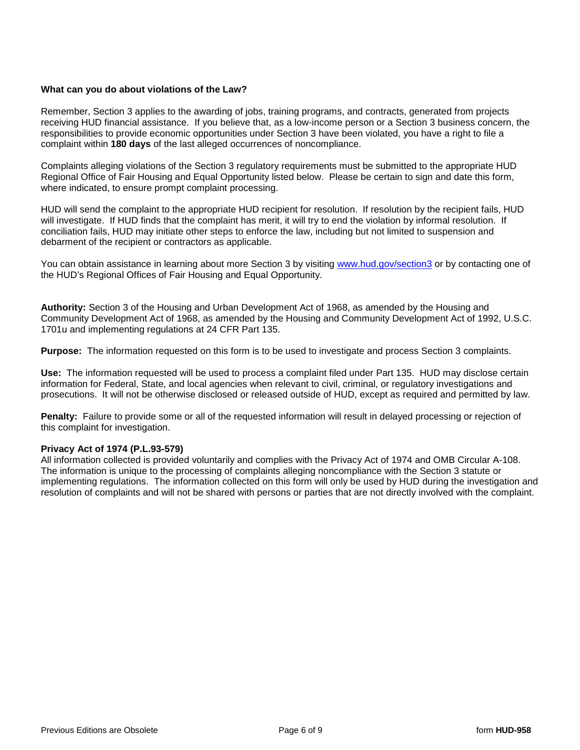#### **What can you do about violations of the Law?**

Remember, Section 3 applies to the awarding of jobs, training programs, and contracts, generated from projects receiving HUD financial assistance. If you believe that, as a low-income person or a Section 3 business concern, the responsibilities to provide economic opportunities under Section 3 have been violated, you have a right to file a complaint within **180 days** of the last alleged occurrences of noncompliance.

Complaints alleging violations of the Section 3 regulatory requirements must be submitted to the appropriate HUD Regional Office of Fair Housing and Equal Opportunity listed below. Please be certain to sign and date this form, where indicated, to ensure prompt complaint processing.

HUD will send the complaint to the appropriate HUD recipient for resolution. If resolution by the recipient fails, HUD will investigate. If HUD finds that the complaint has merit, it will try to end the violation by informal resolution. If conciliation fails, HUD may initiate other steps to enforce the law, including but not limited to suspension and debarment of the recipient or contractors as applicable.

You can obtain assistance in learning about more Section 3 by visiting [www.hud.gov/section3](http://www.hud.gov/section3) or by contacting one of the HUD's Regional Offices of Fair Housing and Equal Opportunity.

**Authority:** Section 3 of the Housing and Urban Development Act of 1968, as amended by the Housing and Community Development Act of 1968, as amended by the Housing and Community Development Act of 1992, U.S.C. 1701u and implementing regulations at 24 CFR Part 135.

**Purpose:** The information requested on this form is to be used to investigate and process Section 3 complaints.

**Use:** The information requested will be used to process a complaint filed under Part 135. HUD may disclose certain information for Federal, State, and local agencies when relevant to civil, criminal, or regulatory investigations and prosecutions. It will not be otherwise disclosed or released outside of HUD, except as required and permitted by law.

**Penalty:** Failure to provide some or all of the requested information will result in delayed processing or rejection of this complaint for investigation.

#### **Privacy Act of 1974 (P.L.93-579)**

All information collected is provided voluntarily and complies with the Privacy Act of 1974 and OMB Circular A-108. The information is unique to the processing of complaints alleging noncompliance with the Section 3 statute or implementing regulations. The information collected on this form will only be used by HUD during the investigation and resolution of complaints and will not be shared with persons or parties that are not directly involved with the complaint.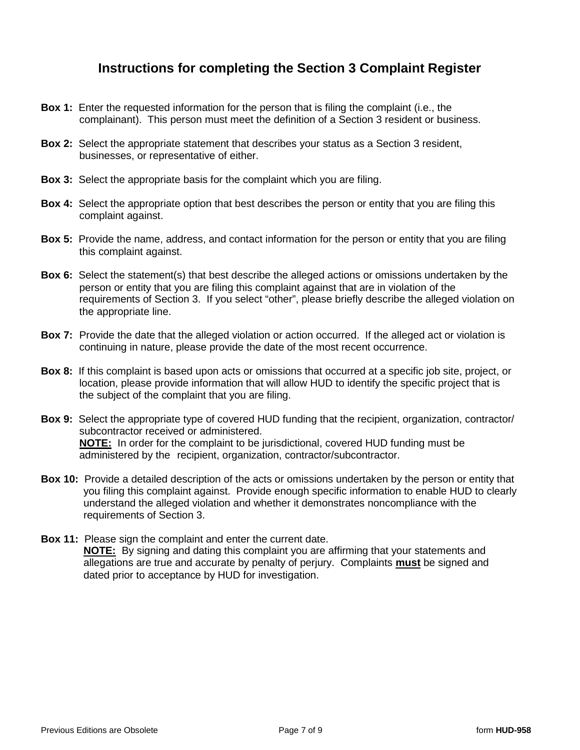# **Instructions for completing the Section 3 Complaint Register**

- **Box 1:** Enter the requested information for the person that is filing the complaint (i.e., the complainant). This person must meet the definition of a Section 3 resident or business.
- **Box 2:** Select the appropriate statement that describes your status as a Section 3 resident, businesses, or representative of either.
- **Box 3:** Select the appropriate basis for the complaint which you are filing.
- **Box 4:** Select the appropriate option that best describes the person or entity that you are filing this complaint against.
- **Box 5:** Provide the name, address, and contact information for the person or entity that you are filing this complaint against.
- **Box 6:** Select the statement(s) that best describe the alleged actions or omissions undertaken by the person or entity that you are filing this complaint against that are in violation of the requirements of Section 3. If you select "other", please briefly describe the alleged violation on the appropriate line.
- **Box 7:** Provide the date that the alleged violation or action occurred. If the alleged act or violation is continuing in nature, please provide the date of the most recent occurrence.
- **Box 8:** If this complaint is based upon acts or omissions that occurred at a specific job site, project, or location, please provide information that will allow HUD to identify the specific project that is the subject of the complaint that you are filing.
- **Box 9:** Select the appropriate type of covered HUD funding that the recipient, organization, contractor/ subcontractor received or administered. **NOTE:** In order for the complaint to be jurisdictional, covered HUD funding must be administered by the recipient, organization, contractor/subcontractor.
- **Box 10:** Provide a detailed description of the acts or omissions undertaken by the person or entity that you filing this complaint against. Provide enough specific information to enable HUD to clearly understand the alleged violation and whether it demonstrates noncompliance with the requirements of Section 3.
- **Box 11:** Please sign the complaint and enter the current date. **NOTE:** By signing and dating this complaint you are affirming that your statements and allegations are true and accurate by penalty of perjury. Complaints **must** be signed and dated prior to acceptance by HUD for investigation.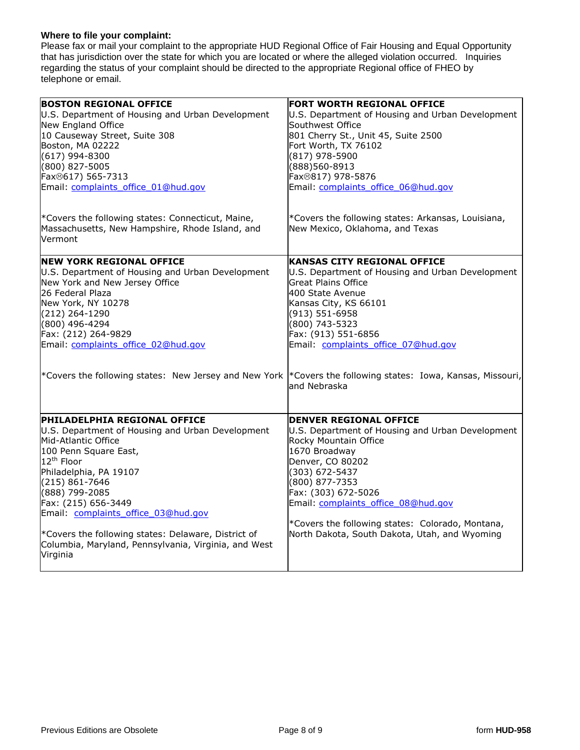#### **Where to file your complaint:**

Please fax or mail your complaint to the appropriate HUD Regional Office of Fair Housing and Equal Opportunity that has jurisdiction over the state for which you are located or where the alleged violation occurred. Inquiries regarding the status of your complaint should be directed to the appropriate Regional office of FHEO by telephone or email.

| <b>BOSTON REGIONAL OFFICE</b>                                                                                                                                                                                                                                                                                                                                                                                                | FORT WORTH REGIONAL OFFICE                                                                                                                                                                                                                                                                                                                             |
|------------------------------------------------------------------------------------------------------------------------------------------------------------------------------------------------------------------------------------------------------------------------------------------------------------------------------------------------------------------------------------------------------------------------------|--------------------------------------------------------------------------------------------------------------------------------------------------------------------------------------------------------------------------------------------------------------------------------------------------------------------------------------------------------|
| U.S. Department of Housing and Urban Development                                                                                                                                                                                                                                                                                                                                                                             | U.S. Department of Housing and Urban Development                                                                                                                                                                                                                                                                                                       |
| New England Office                                                                                                                                                                                                                                                                                                                                                                                                           | Southwest Office                                                                                                                                                                                                                                                                                                                                       |
| 10 Causeway Street, Suite 308                                                                                                                                                                                                                                                                                                                                                                                                | 801 Cherry St., Unit 45, Suite 2500                                                                                                                                                                                                                                                                                                                    |
| Boston, MA 02222                                                                                                                                                                                                                                                                                                                                                                                                             | Fort Worth, TX 76102                                                                                                                                                                                                                                                                                                                                   |
| $(617)$ 994-8300                                                                                                                                                                                                                                                                                                                                                                                                             | (817) 978-5900                                                                                                                                                                                                                                                                                                                                         |
| (800) 827-5005                                                                                                                                                                                                                                                                                                                                                                                                               | (888)560-8913                                                                                                                                                                                                                                                                                                                                          |
| Fax <sup>®</sup> 617) 565-7313                                                                                                                                                                                                                                                                                                                                                                                               | Fax <sup>®</sup> 817) 978-5876                                                                                                                                                                                                                                                                                                                         |
| Email: complaints office 01@hud.gov                                                                                                                                                                                                                                                                                                                                                                                          | Email: complaints office 06@hud.gov                                                                                                                                                                                                                                                                                                                    |
| *Covers the following states: Connecticut, Maine,<br>Massachusetts, New Hampshire, Rhode Island, and<br><b>Vermont</b>                                                                                                                                                                                                                                                                                                       | *Covers the following states: Arkansas, Louisiana,<br>New Mexico, Oklahoma, and Texas                                                                                                                                                                                                                                                                  |
| <b>NEW YORK REGIONAL OFFICE</b>                                                                                                                                                                                                                                                                                                                                                                                              | KANSAS CITY REGIONAL OFFICE                                                                                                                                                                                                                                                                                                                            |
| U.S. Department of Housing and Urban Development                                                                                                                                                                                                                                                                                                                                                                             | U.S. Department of Housing and Urban Development                                                                                                                                                                                                                                                                                                       |
| New York and New Jersey Office                                                                                                                                                                                                                                                                                                                                                                                               | Great Plains Office                                                                                                                                                                                                                                                                                                                                    |
| 26 Federal Plaza                                                                                                                                                                                                                                                                                                                                                                                                             | 400 State Avenue                                                                                                                                                                                                                                                                                                                                       |
| New York, NY 10278                                                                                                                                                                                                                                                                                                                                                                                                           | Kansas City, KS 66101                                                                                                                                                                                                                                                                                                                                  |
| $(212)$ 264-1290                                                                                                                                                                                                                                                                                                                                                                                                             | (913) 551-6958                                                                                                                                                                                                                                                                                                                                         |
| (800) 496-4294                                                                                                                                                                                                                                                                                                                                                                                                               | (800) 743-5323                                                                                                                                                                                                                                                                                                                                         |
| Fax: (212) 264-9829                                                                                                                                                                                                                                                                                                                                                                                                          | Fax: (913) 551-6856                                                                                                                                                                                                                                                                                                                                    |
| Email: complaints office 02@hud.gov                                                                                                                                                                                                                                                                                                                                                                                          | Email: complaints office 07@hud.gov                                                                                                                                                                                                                                                                                                                    |
| *Covers the following states: New Jersey and New York  *Covers the following states: Iowa, Kansas, Missouri,                                                                                                                                                                                                                                                                                                                 | and Nebraska                                                                                                                                                                                                                                                                                                                                           |
| <b>PHILADELPHIA REGIONAL OFFICE</b><br>U.S. Department of Housing and Urban Development<br>Mid-Atlantic Office<br>100 Penn Square East,<br>12 <sup>th</sup> Floor<br>Philadelphia, PA 19107<br>$(215) 861 - 7646$<br>(888) 799-2085<br>Fax: (215) 656-3449<br>Email: complaints office 03@hud.gov<br>*Covers the following states: Delaware, District of<br>Columbia, Maryland, Pennsylvania, Virginia, and West<br>Virginia | <b>DENVER REGIONAL OFFICE</b><br>U.S. Department of Housing and Urban Development<br>Rocky Mountain Office<br>1670 Broadway<br>Denver, CO 80202<br>(303) 672-5437<br>(800) 877-7353<br>Fax: (303) 672-5026<br>Email: complaints office 08@hud.gov<br>*Covers the following states: Colorado, Montana,<br>North Dakota, South Dakota, Utah, and Wyoming |